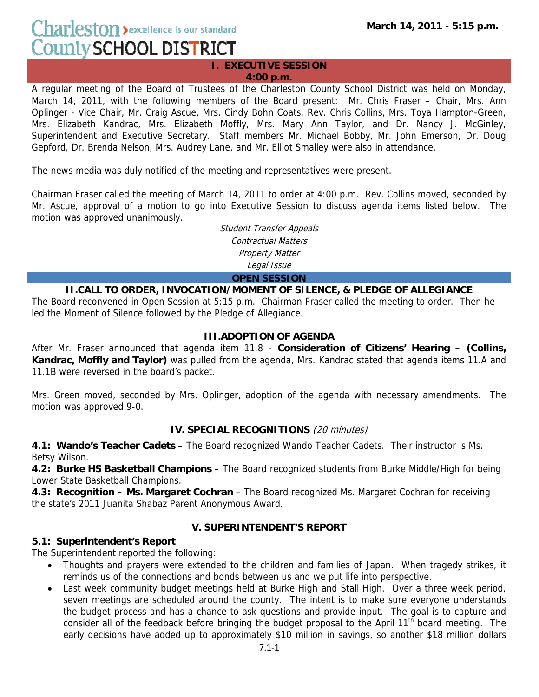**I. EXECUTIVE SESSION 4:00 p.m.** 

A regular meeting of the Board of Trustees of the Charleston County School District was held on Monday, March 14, 2011, with the following members of the Board present: Mr. Chris Fraser – Chair, Mrs. Ann Oplinger - Vice Chair, Mr. Craig Ascue, Mrs. Cindy Bohn Coats, Rev. Chris Collins, Mrs. Toya Hampton-Green, Mrs. Elizabeth Kandrac, Mrs. Elizabeth Moffly, Mrs. Mary Ann Taylor, and Dr. Nancy J. McGinley, Superintendent and Executive Secretary. Staff members Mr. Michael Bobby, Mr. John Emerson, Dr. Doug Gepford, Dr. Brenda Nelson, Mrs. Audrey Lane, and Mr. Elliot Smalley were also in attendance.

The news media was duly notified of the meeting and representatives were present.

Chairman Fraser called the meeting of March 14, 2011 to order at 4:00 p.m. Rev. Collins moved, seconded by Mr. Ascue, approval of a motion to go into Executive Session to discuss agenda items listed below. The motion was approved unanimously.

> Student Transfer Appeals Contractual Matters Property Matter Legal Issue **OPEN SESSION**

**II.CALL TO ORDER, INVOCATION/MOMENT OF SILENCE, & PLEDGE OF ALLEGIANCE** 

The Board reconvened in Open Session at 5:15 p.m. Chairman Fraser called the meeting to order. Then he led the Moment of Silence followed by the Pledge of Allegiance.

## **III.ADOPTION OF AGENDA**

After Mr. Fraser announced that agenda item 11.8 - **Consideration of Citizens' Hearing – (Collins, Kandrac, Moffly and Taylor)** was pulled from the agenda, Mrs. Kandrac stated that agenda items 11.A and 11.1B were reversed in the board's packet.

Mrs. Green moved, seconded by Mrs. Oplinger, adoption of the agenda with necessary amendments. The motion was approved 9-0.

## **IV. SPECIAL RECOGNITIONS** (20 minutes)

**4.1: Wando's Teacher Cadets** – The Board recognized Wando Teacher Cadets. Their instructor is Ms. Betsy Wilson.

**4.2: Burke HS Basketball Champions** – The Board recognized students from Burke Middle/High for being Lower State Basketball Champions.

**4.3: Recognition – Ms. Margaret Cochran** – The Board recognized Ms. Margaret Cochran for receiving the state's 2011 Juanita Shabaz Parent Anonymous Award.

## **V. SUPERINTENDENT'S REPORT**

## **5.1: Superintendent's Report**

The Superintendent reported the following:

- Thoughts and prayers were extended to the children and families of Japan. When tragedy strikes, it reminds us of the connections and bonds between us and we put life into perspective.
- Last week community budget meetings held at Burke High and Stall High. Over a three week period, seven meetings are scheduled around the county. The intent is to make sure everyone understands the budget process and has a chance to ask questions and provide input. The goal is to capture and consider all of the feedback before bringing the budget proposal to the April 11<sup>th</sup> board meeting. The early decisions have added up to approximately \$10 million in savings, so another \$18 million dollars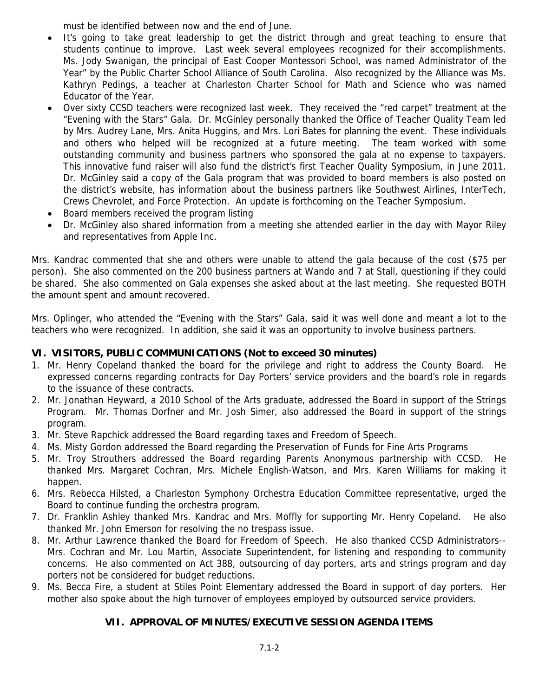must be identified between now and the end of June.

- It's going to take great leadership to get the district through and great teaching to ensure that students continue to improve. Last week several employees recognized for their accomplishments. Ms. Jody Swanigan, the principal of East Cooper Montessori School, was named Administrator of the Year" by the Public Charter School Alliance of South Carolina. Also recognized by the Alliance was Ms. Kathryn Pedings, a teacher at Charleston Charter School for Math and Science who was named Educator of the Year.
- Over sixty CCSD teachers were recognized last week. They received the "red carpet" treatment at the "Evening with the Stars" Gala. Dr. McGinley personally thanked the Office of Teacher Quality Team led by Mrs. Audrey Lane, Mrs. Anita Huggins, and Mrs. Lori Bates for planning the event. These individuals and others who helped will be recognized at a future meeting. The team worked with some outstanding community and business partners who sponsored the gala at no expense to taxpayers. This innovative fund raiser will also fund the district's first Teacher Quality Symposium, in June 2011. Dr. McGinley said a copy of the Gala program that was provided to board members is also posted on the district's website, has information about the business partners like Southwest Airlines, InterTech, Crews Chevrolet, and Force Protection. An update is forthcoming on the Teacher Symposium.
- Board members received the program listing
- Dr. McGinley also shared information from a meeting she attended earlier in the day with Mayor Riley and representatives from Apple Inc.

Mrs. Kandrac commented that she and others were unable to attend the gala because of the cost (\$75 per person). She also commented on the 200 business partners at Wando and 7 at Stall, questioning if they could be shared. She also commented on Gala expenses she asked about at the last meeting. She requested BOTH the amount spent and amount recovered.

Mrs. Oplinger, who attended the "Evening with the Stars" Gala, said it was well done and meant a lot to the teachers who were recognized. In addition, she said it was an opportunity to involve business partners.

# **VI. VISITORS, PUBLIC COMMUNICATIONS (Not to exceed 30 minutes)**

- 1. Mr. Henry Copeland thanked the board for the privilege and right to address the County Board. He expressed concerns regarding contracts for Day Porters' service providers and the board's role in regards to the issuance of these contracts.
- 2. Mr. Jonathan Heyward, a 2010 School of the Arts graduate, addressed the Board in support of the Strings Program. Mr. Thomas Dorfner and Mr. Josh Simer, also addressed the Board in support of the strings program.
- 3. Mr. Steve Rapchick addressed the Board regarding taxes and Freedom of Speech.
- 4. Ms. Misty Gordon addressed the Board regarding the Preservation of Funds for Fine Arts Programs
- 5. Mr. Troy Strouthers addressed the Board regarding Parents Anonymous partnership with CCSD. He thanked Mrs. Margaret Cochran, Mrs. Michele English-Watson, and Mrs. Karen Williams for making it happen.
- 6. Mrs. Rebecca Hilsted, a Charleston Symphony Orchestra Education Committee representative, urged the Board to continue funding the orchestra program.
- 7. Dr. Franklin Ashley thanked Mrs. Kandrac and Mrs. Moffly for supporting Mr. Henry Copeland. He also thanked Mr. John Emerson for resolving the no trespass issue.
- 8. Mr. Arthur Lawrence thanked the Board for Freedom of Speech. He also thanked CCSD Administrators-- Mrs. Cochran and Mr. Lou Martin, Associate Superintendent, for listening and responding to community concerns. He also commented on Act 388, outsourcing of day porters, arts and strings program and day porters not be considered for budget reductions.
- 9. Ms. Becca Fire, a student at Stiles Point Elementary addressed the Board in support of day porters. Her mother also spoke about the high turnover of employees employed by outsourced service providers.

# **VII. APPROVAL OF MINUTES/EXECUTIVE SESSION AGENDA ITEMS**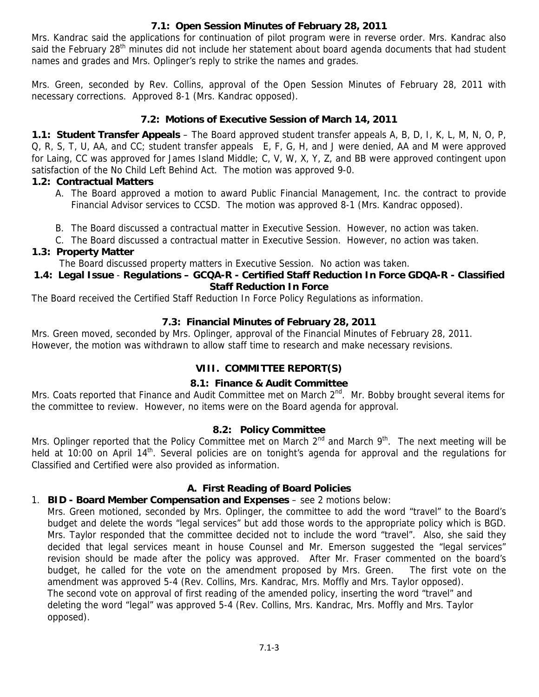## **7.1: Open Session Minutes of February 28, 2011**

Mrs. Kandrac said the applications for continuation of pilot program were in reverse order. Mrs. Kandrac also said the February 28<sup>th</sup> minutes did not include her statement about board agenda documents that had student names and grades and Mrs. Oplinger's reply to strike the names and grades.

Mrs. Green, seconded by Rev. Collins, approval of the Open Session Minutes of February 28, 2011 with necessary corrections. Approved 8-1 (Mrs. Kandrac opposed).

## **7.2: Motions of Executive Session of March 14, 2011**

**1.1: Student Transfer Appeals** – The Board approved student transfer appeals A, B, D, I, K, L, M, N, O, P, Q, R, S, T, U, AA, and CC; student transfer appeals E, F, G, H, and J were denied, AA and M were approved for Laing, CC was approved for James Island Middle; C, V, W, X, Y, Z, and BB were approved contingent upon satisfaction of the No Child Left Behind Act. The motion was approved 9-0.

## **1.2: Contractual Matters**

- A. The Board approved a motion to award Public Financial Management, Inc. the contract to provide Financial Advisor services to CCSD. The motion was approved 8-1 (Mrs. Kandrac opposed).
- B. The Board discussed a contractual matter in Executive Session. However, no action was taken.
- C. The Board discussed a contractual matter in Executive Session. However, no action was taken.

## **1.3: Property Matter**

The Board discussed property matters in Executive Session. No action was taken.

#### **1.4: Legal Issue** - **Regulations – GCQA-R - Certified Staff Reduction In Force GDQA-R - Classified Staff Reduction In Force**

The Board received the Certified Staff Reduction In Force Policy Regulations as information.

# **7.3: Financial Minutes of February 28, 2011**

Mrs. Green moved, seconded by Mrs. Oplinger, approval of the Financial Minutes of February 28, 2011. However, the motion was withdrawn to allow staff time to research and make necessary revisions.

# **VIII. COMMITTEE REPORT(S)**

## **8.1: Finance & Audit Committee**

Mrs. Coats reported that Finance and Audit Committee met on March 2<sup>nd</sup>. Mr. Bobby brought several items for the committee to review. However, no items were on the Board agenda for approval.

## **8.2: Policy Committee**

Mrs. Oplinger reported that the Policy Committee met on March 2<sup>nd</sup> and March 9<sup>th</sup>. The next meeting will be held at 10:00 on April 14<sup>th</sup>. Several policies are on tonight's agenda for approval and the regulations for Classified and Certified were also provided as information.

# **A. First Reading of Board Policies**

# 1. **BID - Board Member Compensation and Expenses** – see 2 motions below:

Mrs. Green motioned, seconded by Mrs. Oplinger, the committee to add the word "travel" to the Board's budget and delete the words "legal services" but add those words to the appropriate policy which is BGD. Mrs. Taylor responded that the committee decided not to include the word "travel". Also, she said they decided that legal services meant in house Counsel and Mr. Emerson suggested the "legal services" revision should be made after the policy was approved. After Mr. Fraser commented on the board's budget, he called for the vote on the amendment proposed by Mrs. Green. The first vote on the amendment was approved 5-4 (Rev. Collins, Mrs. Kandrac, Mrs. Moffly and Mrs. Taylor opposed). The second vote on approval of first reading of the amended policy, inserting the word "travel" and deleting the word "legal" was approved 5-4 (Rev. Collins, Mrs. Kandrac, Mrs. Moffly and Mrs. Taylor opposed).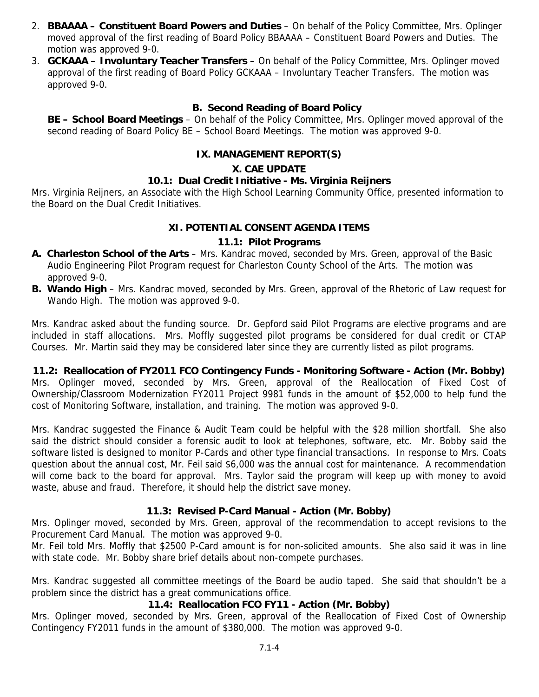- 2. **BBAAAA Constituent Board Powers and Duties** On behalf of the Policy Committee, Mrs. Oplinger moved approval of the first reading of Board Policy BBAAAA – Constituent Board Powers and Duties. The motion was approved 9-0.
- 3. **GCKAAA Involuntary Teacher Transfers** On behalf of the Policy Committee, Mrs. Oplinger moved approval of the first reading of Board Policy GCKAAA – Involuntary Teacher Transfers. The motion was approved 9-0.

### **B. Second Reading of Board Policy**

**BE – School Board Meetings** – On behalf of the Policy Committee, Mrs. Oplinger moved approval of the second reading of Board Policy BE – School Board Meetings. The motion was approved 9-0.

### **IX. MANAGEMENT REPORT(S)**

#### **X. CAE UPDATE**

#### **10.1: Dual Credit Initiative - Ms. Virginia Reijners**

Mrs. Virginia Reijners, an Associate with the High School Learning Community Office, presented information to the Board on the Dual Credit Initiatives.

### **XI. POTENTIAL CONSENT AGENDA ITEMS**

#### **11.1: Pilot Programs**

- **A. Charleston School of the Arts** Mrs. Kandrac moved, seconded by Mrs. Green, approval of the Basic Audio Engineering Pilot Program request for Charleston County School of the Arts. The motion was approved 9-0.
- **B. Wando High** Mrs. Kandrac moved, seconded by Mrs. Green, approval of the Rhetoric of Law request for Wando High. The motion was approved 9-0.

Mrs. Kandrac asked about the funding source. Dr. Gepford said Pilot Programs are elective programs and are included in staff allocations. Mrs. Moffly suggested pilot programs be considered for dual credit or CTAP Courses. Mr. Martin said they may be considered later since they are currently listed as pilot programs.

**11.2: Reallocation of FY2011 FCO Contingency Funds - Monitoring Software - Action (Mr. Bobby)** Mrs. Oplinger moved, seconded by Mrs. Green, approval of the Reallocation of Fixed Cost of Ownership/Classroom Modernization FY2011 Project 9981 funds in the amount of \$52,000 to help fund the cost of Monitoring Software, installation, and training. The motion was approved 9-0.

Mrs. Kandrac suggested the Finance & Audit Team could be helpful with the \$28 million shortfall. She also said the district should consider a forensic audit to look at telephones, software, etc. Mr. Bobby said the software listed is designed to monitor P-Cards and other type financial transactions. In response to Mrs. Coats question about the annual cost, Mr. Feil said \$6,000 was the annual cost for maintenance. A recommendation will come back to the board for approval. Mrs. Taylor said the program will keep up with money to avoid waste, abuse and fraud. Therefore, it should help the district save money.

#### **11.3: Revised P-Card Manual - Action (Mr. Bobby)**

Mrs. Oplinger moved, seconded by Mrs. Green, approval of the recommendation to accept revisions to the Procurement Card Manual. The motion was approved 9-0.

Mr. Feil told Mrs. Moffly that \$2500 P-Card amount is for non-solicited amounts. She also said it was in line with state code. Mr. Bobby share brief details about non-compete purchases.

Mrs. Kandrac suggested all committee meetings of the Board be audio taped. She said that shouldn't be a problem since the district has a great communications office.

#### **11.4: Reallocation FCO FY11 - Action (Mr. Bobby)**

Mrs. Oplinger moved, seconded by Mrs. Green, approval of the Reallocation of Fixed Cost of Ownership Contingency FY2011 funds in the amount of \$380,000. The motion was approved 9-0.